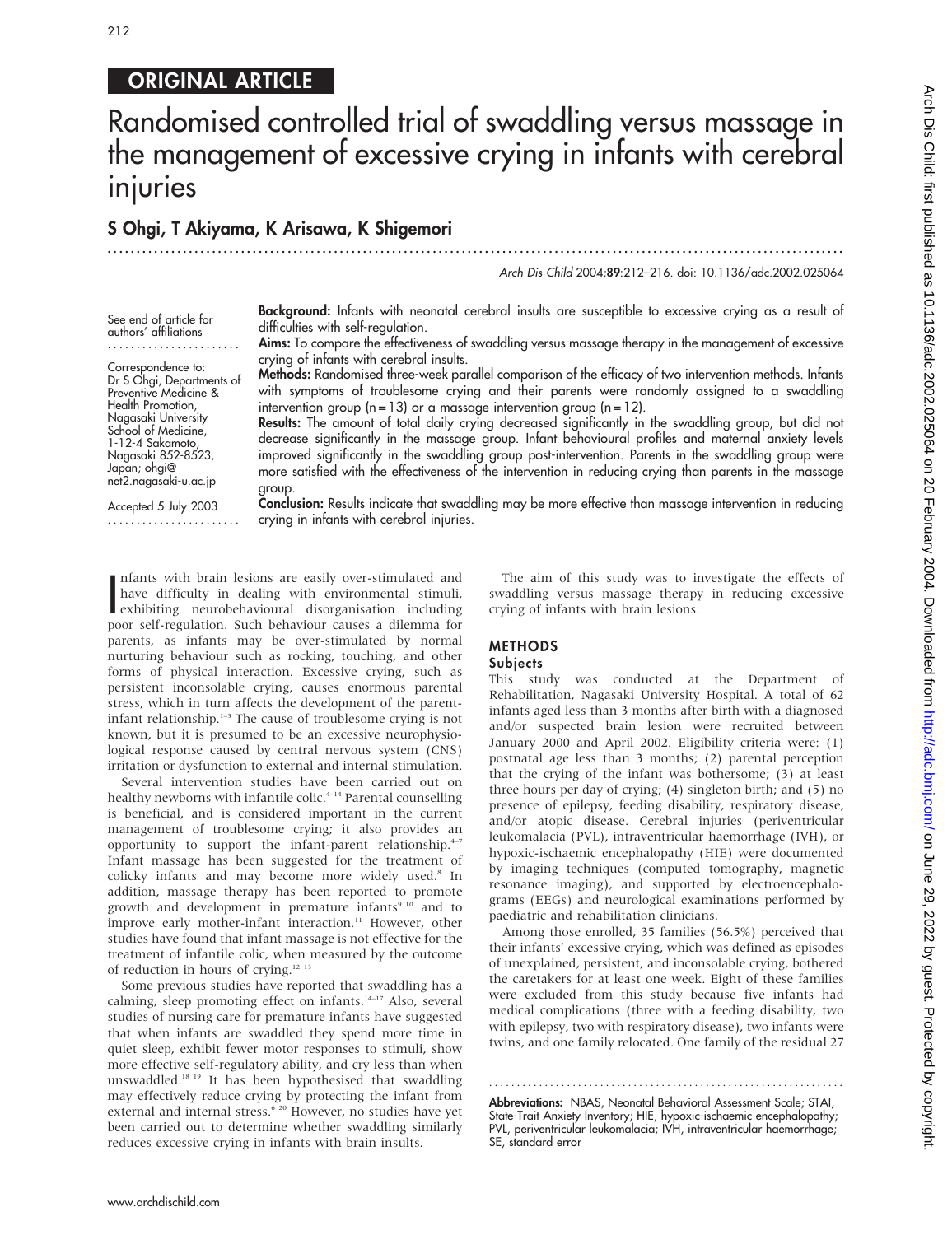# ORIGINAL ARTICLE

# Randomised controlled trial of swaddling versus massage in the management of excessive crying in infants with cerebral injuries

# S Ohgi, T Akiyama, K Arisawa, K Shigemori .............................................................................................................................. .

Arch Dis Child 2004;89:212–216. doi: 10.1136/adc.2002.025064

See end of article for authors' affiliations .......................

Correspondence to: Dr S Ohgi, Departments of Preventive Medicine & Health Promotion, Nagasaki University School of Medicine. 1-12-4 Sakamoto, Nagasaki 852-8523, Japan; ohgi@ net2.nagasaki-u.ac.jp

Accepted 5 July 2003 ....................... Background: Infants with neonatal cerebral insults are susceptible to excessive crying as a result of difficulties with self-regulation.

Aims: To compare the effectiveness of swaddling versus massage therapy in the management of excessive crying of infants with cerebral insults.

Methods: Randomised three-week parallel comparison of the efficacy of two intervention methods. Infants with symptoms of troublesome crying and their parents were randomly assigned to a swaddling intervention group  $(n = 13)$  or a massage intervention group  $(n = 12)$ .

Results: The amount of total daily crying decreased significantly in the swaddling group, but did not decrease significantly in the massage group. Infant behavioural profiles and maternal anxiety levels improved significantly in the swaddling group post-intervention. Parents in the swaddling group were more satisfied with the effectiveness of the intervention in reducing crying than parents in the massage group.

Conclusion: Results indicate that swaddling may be more effective than massage intervention in reducing crying in infants with cerebral injuries.

I hants with brain issions are easily over-stimulated and<br>have difficulty in dealing with environmental stimuli,<br>exhibiting neurobehavioural disorganisation including<br>including nfants with brain lesions are easily over-stimulated and have difficulty in dealing with environmental stimuli, poor self-regulation. Such behaviour causes a dilemma for parents, as infants may be over-stimulated by normal nurturing behaviour such as rocking, touching, and other forms of physical interaction. Excessive crying, such as persistent inconsolable crying, causes enormous parental stress, which in turn affects the development of the parentinfant relationship.1–3 The cause of troublesome crying is not known, but it is presumed to be an excessive neurophysiological response caused by central nervous system (CNS) irritation or dysfunction to external and internal stimulation.

Several intervention studies have been carried out on healthy newborns with infantile colic.<sup>4-14</sup> Parental counselling is beneficial, and is considered important in the current management of troublesome crying; it also provides an opportunity to support the infant-parent relationship. $4-7$ Infant massage has been suggested for the treatment of colicky infants and may become more widely used.<sup>8</sup> In addition, massage therapy has been reported to promote growth and development in premature infants<sup>9 10</sup> and to improve early mother-infant interaction.<sup>11</sup> However, other studies have found that infant massage is not effective for the treatment of infantile colic, when measured by the outcome of reduction in hours of crying.12 13

Some previous studies have reported that swaddling has a calming, sleep promoting effect on infants. $14-17$  Also, several studies of nursing care for premature infants have suggested that when infants are swaddled they spend more time in quiet sleep, exhibit fewer motor responses to stimuli, show more effective self-regulatory ability, and cry less than when unswaddled.18 19 It has been hypothesised that swaddling may effectively reduce crying by protecting the infant from external and internal stress.<sup>6 20</sup> However, no studies have yet been carried out to determine whether swaddling similarly reduces excessive crying in infants with brain insults.

The aim of this study was to investigate the effects of swaddling versus massage therapy in reducing excessive crying of infants with brain lesions.

# METHODS

# Subjects

This study was conducted at the Department of Rehabilitation, Nagasaki University Hospital. A total of 62 infants aged less than 3 months after birth with a diagnosed and/or suspected brain lesion were recruited between January 2000 and April 2002. Eligibility criteria were: (1) postnatal age less than 3 months; (2) parental perception that the crying of the infant was bothersome; (3) at least three hours per day of crying; (4) singleton birth; and (5) no presence of epilepsy, feeding disability, respiratory disease, and/or atopic disease. Cerebral injuries (periventricular leukomalacia (PVL), intraventricular haemorrhage (IVH), or hypoxic-ischaemic encephalopathy (HIE) were documented by imaging techniques (computed tomography, magnetic resonance imaging), and supported by electroencephalograms (EEGs) and neurological examinations performed by paediatric and rehabilitation clinicians.

Among those enrolled, 35 families (56.5%) perceived that their infants' excessive crying, which was defined as episodes of unexplained, persistent, and inconsolable crying, bothered the caretakers for at least one week. Eight of these families were excluded from this study because five infants had medical complications (three with a feeding disability, two with epilepsy, two with respiratory disease), two infants were twins, and one family relocated. One family of the residual 27

Abbreviations: NBAS, Neonatal Behavioral Assessment Scale; STAI, State-Trait Anxiety Inventory; HIE, hypoxic-ischaemic encephalopathy; PVL, periventricular leukomalacia; IVH, intraventricular haemorrhage; SE, standard error

............................................................... .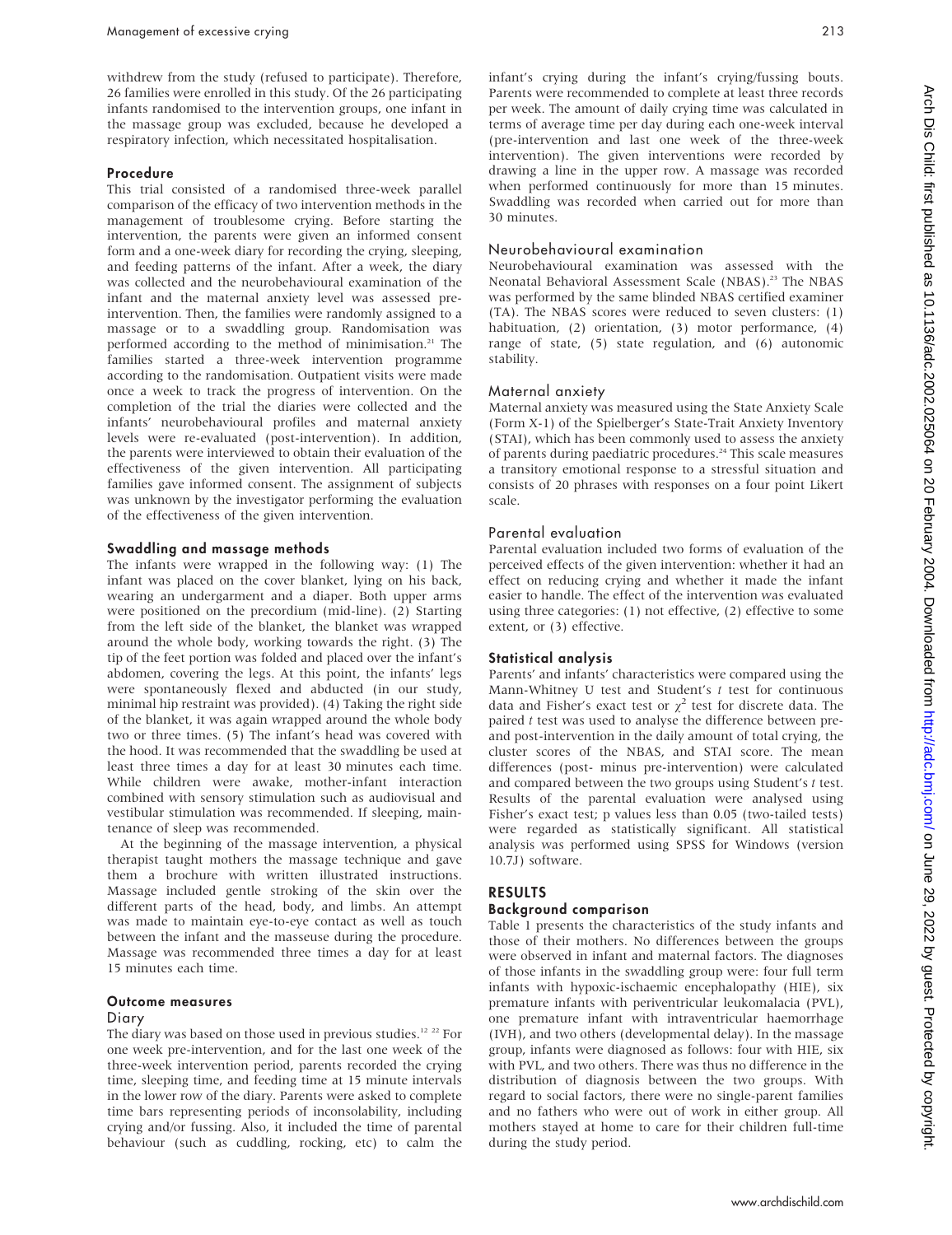withdrew from the study (refused to participate). Therefore, 26 families were enrolled in this study. Of the 26 participating infants randomised to the intervention groups, one infant in the massage group was excluded, because he developed a respiratory infection, which necessitated hospitalisation.

#### Procedure

This trial consisted of a randomised three-week parallel comparison of the efficacy of two intervention methods in the management of troublesome crying. Before starting the intervention, the parents were given an informed consent form and a one-week diary for recording the crying, sleeping, and feeding patterns of the infant. After a week, the diary was collected and the neurobehavioural examination of the infant and the maternal anxiety level was assessed preintervention. Then, the families were randomly assigned to a massage or to a swaddling group. Randomisation was performed according to the method of minimisation.<sup>21</sup> The families started a three-week intervention programme according to the randomisation. Outpatient visits were made once a week to track the progress of intervention. On the completion of the trial the diaries were collected and the infants' neurobehavioural profiles and maternal anxiety levels were re-evaluated (post-intervention). In addition, the parents were interviewed to obtain their evaluation of the effectiveness of the given intervention. All participating families gave informed consent. The assignment of subjects was unknown by the investigator performing the evaluation of the effectiveness of the given intervention.

#### Swaddling and massage methods

The infants were wrapped in the following way: (1) The infant was placed on the cover blanket, lying on his back, wearing an undergarment and a diaper. Both upper arms were positioned on the precordium (mid-line). (2) Starting from the left side of the blanket, the blanket was wrapped around the whole body, working towards the right. (3) The tip of the feet portion was folded and placed over the infant's abdomen, covering the legs. At this point, the infants' legs were spontaneously flexed and abducted (in our study, minimal hip restraint was provided). (4) Taking the right side of the blanket, it was again wrapped around the whole body two or three times. (5) The infant's head was covered with the hood. It was recommended that the swaddling be used at least three times a day for at least 30 minutes each time. While children were awake, mother-infant interaction combined with sensory stimulation such as audiovisual and vestibular stimulation was recommended. If sleeping, maintenance of sleep was recommended.

At the beginning of the massage intervention, a physical therapist taught mothers the massage technique and gave them a brochure with written illustrated instructions. Massage included gentle stroking of the skin over the different parts of the head, body, and limbs. An attempt was made to maintain eye-to-eye contact as well as touch between the infant and the masseuse during the procedure. Massage was recommended three times a day for at least 15 minutes each time.

#### Outcome measures

# Diary

The diary was based on those used in previous studies.<sup>12 22</sup> For one week pre-intervention, and for the last one week of the three-week intervention period, parents recorded the crying time, sleeping time, and feeding time at 15 minute intervals in the lower row of the diary. Parents were asked to complete time bars representing periods of inconsolability, including crying and/or fussing. Also, it included the time of parental behaviour (such as cuddling, rocking, etc) to calm the infant's crying during the infant's crying/fussing bouts. Parents were recommended to complete at least three records per week. The amount of daily crying time was calculated in terms of average time per day during each one-week interval (pre-intervention and last one week of the three-week intervention). The given interventions were recorded by drawing a line in the upper row. A massage was recorded when performed continuously for more than 15 minutes. Swaddling was recorded when carried out for more than 30 minutes.

#### Neurobehavioural examination

Neurobehavioural examination was assessed with the Neonatal Behavioral Assessment Scale (NBAS).<sup>23</sup> The NBAS was performed by the same blinded NBAS certified examiner (TA). The NBAS scores were reduced to seven clusters: (1) habituation, (2) orientation, (3) motor performance, (4) range of state, (5) state regulation, and (6) autonomic stability.

#### Maternal anxiety

Maternal anxiety was measured using the State Anxiety Scale (Form X-1) of the Spielberger's State-Trait Anxiety Inventory (STAI), which has been commonly used to assess the anxiety of parents during paediatric procedures.<sup>24</sup> This scale measures a transitory emotional response to a stressful situation and consists of 20 phrases with responses on a four point Likert scale.

#### Parental evaluation

Parental evaluation included two forms of evaluation of the perceived effects of the given intervention: whether it had an effect on reducing crying and whether it made the infant easier to handle. The effect of the intervention was evaluated using three categories: (1) not effective, (2) effective to some extent, or (3) effective.

#### Statistical analysis

Parents' and infants' characteristics were compared using the Mann-Whitney U test and Student's  $t$  test for continuous data and Fisher's exact test or  $\chi^2$  test for discrete data. The paired  $t$  test was used to analyse the difference between preand post-intervention in the daily amount of total crying, the cluster scores of the NBAS, and STAI score. The mean differences (post- minus pre-intervention) were calculated and compared between the two groups using Student's t test. Results of the parental evaluation were analysed using Fisher's exact test; p values less than 0.05 (two-tailed tests) were regarded as statistically significant. All statistical analysis was performed using SPSS for Windows (version 10.7J) software.

# RESULTS

# Background comparison

Table 1 presents the characteristics of the study infants and those of their mothers. No differences between the groups were observed in infant and maternal factors. The diagnoses of those infants in the swaddling group were: four full term infants with hypoxic-ischaemic encephalopathy (HIE), six premature infants with periventricular leukomalacia (PVL), one premature infant with intraventricular haemorrhage (IVH), and two others (developmental delay). In the massage group, infants were diagnosed as follows: four with HIE, six with PVL, and two others. There was thus no difference in the distribution of diagnosis between the two groups. With regard to social factors, there were no single-parent families and no fathers who were out of work in either group. All mothers stayed at home to care for their children full-time during the study period.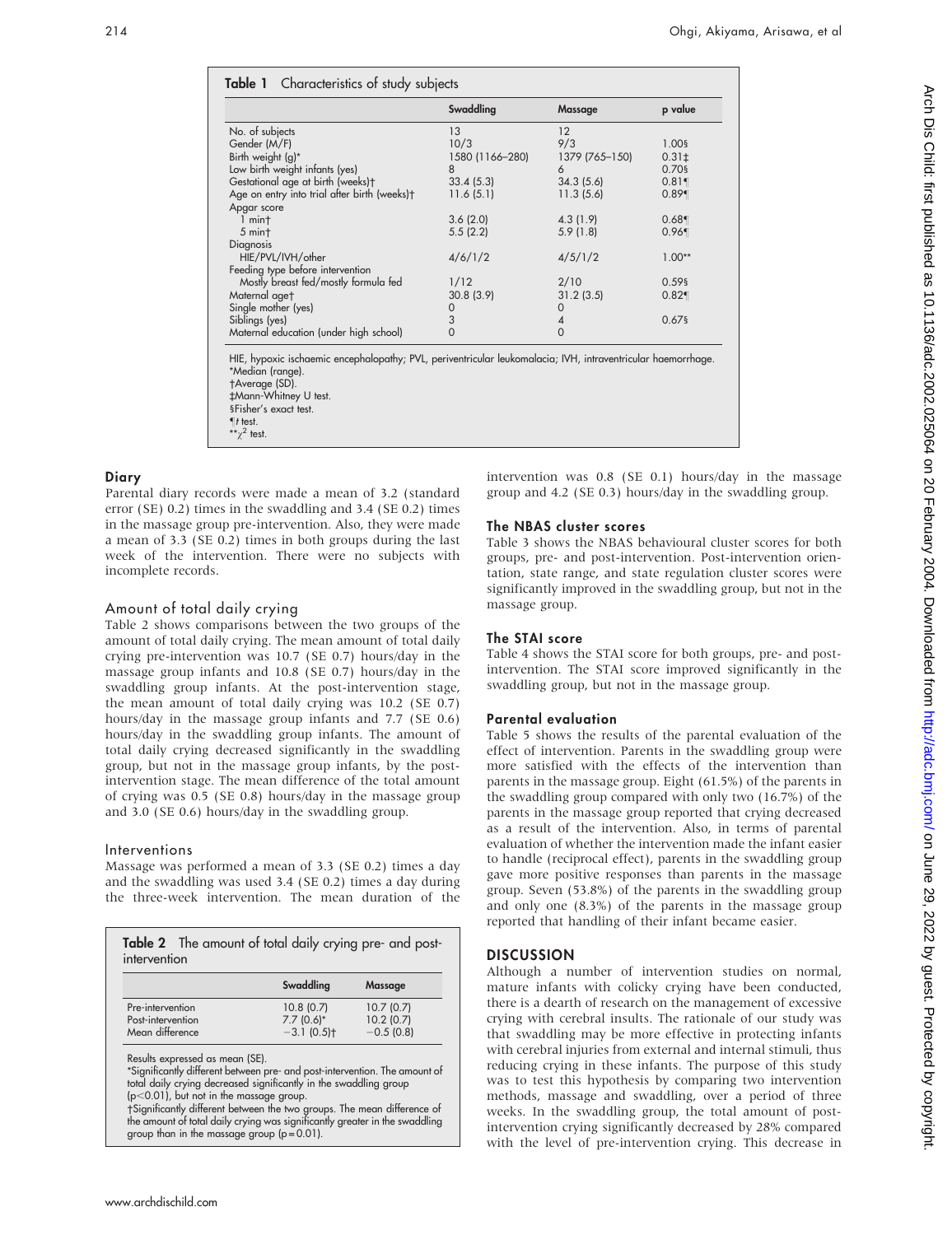|                                                          | Swaddling       | Massage        | p value    |
|----------------------------------------------------------|-----------------|----------------|------------|
| No. of subjects                                          | 13              | 12             |            |
| Gender (M/F)                                             | 10/3            | 9/3            | 1.00§      |
| Birth weight (g)*                                        | 1580 (1166-280) | 1379 (765-150) | $0.31 \pm$ |
| Low birth weight infants (yes)                           | 8               | 6              | 0.70§      |
| Gestational age at birth (weeks)+                        | 33.4(5.3)       | 34.3(5.6)      | 0.81       |
| Age on entry into trial after birth (weeks) <sup>+</sup> | 11.6(5.1)       | 11.3(5.6)      | 0.89       |
| Apgar score                                              |                 |                |            |
| $1$ mint                                                 | 3.6(2.0)        | 4.3(1.9)       | 0.68       |
| $5$ min $\dagger$                                        | 5.5(2.2)        | 5.9(1.8)       | 0.96       |
| Diagnosis                                                |                 |                |            |
| HIE/PVL/IVH/other                                        | 4/6/1/2         | 4/5/1/2        | $1.00**$   |
| Feeding type before intervention                         |                 |                |            |
| Mostly breast fed/mostly formula fed                     | 1/12            | 2/10           | $0.59$ §   |
| Maternal aget                                            | 30.8(3.9)       | 31.2(3.5)      | 0.82       |
| Single mother (yes)                                      |                 | 0              |            |
| Siblings (yes)                                           | $\frac{0}{3}$   | 4              | $0.67$ §   |
| Maternal education (under high school)                   | $\mathbf 0$     | 0              |            |

HIE, hypoxic ischaemic encephalopathy; PVL, periventricular leukomalacia; IVH, intraventricular haemorrhage. \*Median (range). Average (SD).

`Mann-Whitney U test.

§Fisher's exact test.  $I$  test.

\*\* $\chi^2$  test.

#### **Diary**

Parental diary records were made a mean of 3.2 (standard error (SE) 0.2) times in the swaddling and 3.4 (SE 0.2) times in the massage group pre-intervention. Also, they were made a mean of 3.3 (SE 0.2) times in both groups during the last week of the intervention. There were no subjects with incomplete records.

# Amount of total daily crying

Table 2 shows comparisons between the two groups of the amount of total daily crying. The mean amount of total daily crying pre-intervention was 10.7 (SE 0.7) hours/day in the massage group infants and 10.8 (SE 0.7) hours/day in the swaddling group infants. At the post-intervention stage, the mean amount of total daily crying was 10.2 (SE 0.7) hours/day in the massage group infants and 7.7 (SE 0.6) hours/day in the swaddling group infants. The amount of total daily crying decreased significantly in the swaddling group, but not in the massage group infants, by the postintervention stage. The mean difference of the total amount of crying was 0.5 (SE 0.8) hours/day in the massage group and 3.0 (SE 0.6) hours/day in the swaddling group.

#### Interventions

Massage was performed a mean of 3.3 (SE 0.2) times a day and the swaddling was used 3.4 (SE 0.2) times a day during the three-week intervention. The mean duration of the

| Table 2 The amount of total daily crying pre- and post-<br>intervention |                          |                |  |  |
|-------------------------------------------------------------------------|--------------------------|----------------|--|--|
|                                                                         | Swaddling                | <b>Massage</b> |  |  |
| Pre-intervention                                                        | 10.8(0.7)                | 10.7(0.7)      |  |  |
| Post-intervention                                                       | $7.7(0.6)^*$             | 10.2(0.7)      |  |  |
| Mean difference                                                         | $-3.1(0.5)$ <sup>+</sup> | $-0.5(0.8)$    |  |  |

Results expressed as mean (SE).

\*Significantly different between pre- and post-intervention. The amount of total daily crying decreased significantly in the swaddling group (p $<$ 0.01), but not in the massage group.

Significantly different between the two groups. The mean difference of the amount of total daily crying was significantly greater in the swaddling group than in the massage group  $(p = 0.01)$ .

intervention was 0.8 (SE 0.1) hours/day in the massage group and 4.2 (SE 0.3) hours/day in the swaddling group.

# The NBAS cluster scores

Table 3 shows the NBAS behavioural cluster scores for both groups, pre- and post-intervention. Post-intervention orientation, state range, and state regulation cluster scores were significantly improved in the swaddling group, but not in the massage group.

# The STAI score

Table 4 shows the STAI score for both groups, pre- and postintervention. The STAI score improved significantly in the swaddling group, but not in the massage group.

# Parental evaluation

Table 5 shows the results of the parental evaluation of the effect of intervention. Parents in the swaddling group were more satisfied with the effects of the intervention than parents in the massage group. Eight (61.5%) of the parents in the swaddling group compared with only two (16.7%) of the parents in the massage group reported that crying decreased as a result of the intervention. Also, in terms of parental evaluation of whether the intervention made the infant easier to handle (reciprocal effect), parents in the swaddling group gave more positive responses than parents in the massage group. Seven (53.8%) of the parents in the swaddling group and only one (8.3%) of the parents in the massage group reported that handling of their infant became easier.

# **DISCUSSION**

Although a number of intervention studies on normal, mature infants with colicky crying have been conducted, there is a dearth of research on the management of excessive crying with cerebral insults. The rationale of our study was that swaddling may be more effective in protecting infants with cerebral injuries from external and internal stimuli, thus reducing crying in these infants. The purpose of this study was to test this hypothesis by comparing two intervention methods, massage and swaddling, over a period of three weeks. In the swaddling group, the total amount of postintervention crying significantly decreased by 28% compared with the level of pre-intervention crying. This decrease in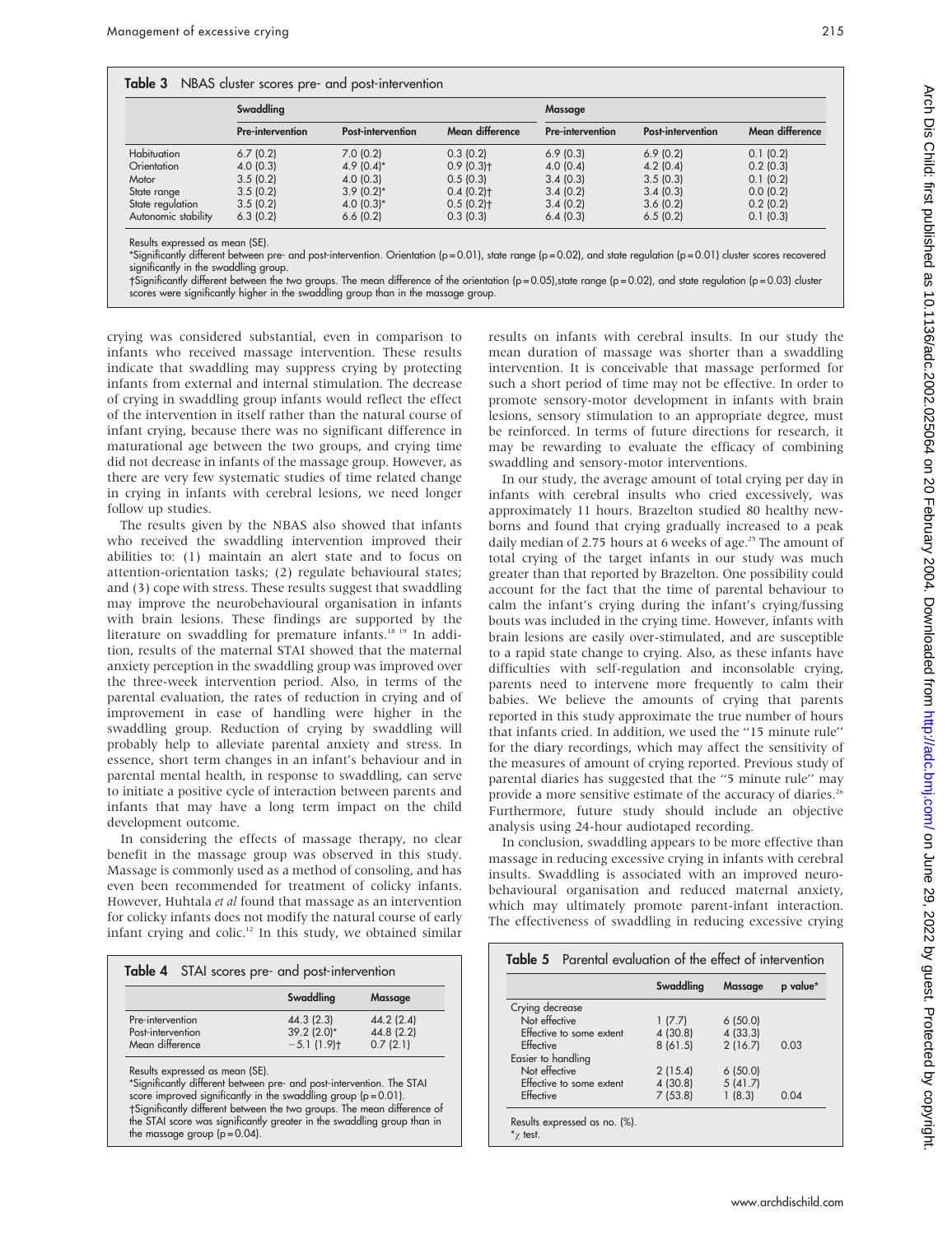|  |  |  |  |  | Table 3 NBAS cluster scores pre- and post-intervention |
|--|--|--|--|--|--------------------------------------------------------|
|--|--|--|--|--|--------------------------------------------------------|

|                     | Swaddling               |                   |                         | <b>Massage</b>          |                          |                 |  |  |
|---------------------|-------------------------|-------------------|-------------------------|-------------------------|--------------------------|-----------------|--|--|
|                     | <b>Pre-intervention</b> | Post-intervention | Mean difference         | <b>Pre-intervention</b> | <b>Post-intervention</b> | Mean difference |  |  |
| <b>Habituation</b>  | 6.7(0.2)                | 7.0(0.2)          | 0.3(0.2)                | 6.9(0.3)                | 6.9(0.2)                 | 0.1(0.2)        |  |  |
| Orientation         | 4.0(0.3)                | $4.9(0.4)$ *      | $0.9(0.3)$ <sup>+</sup> | 4.0(0.4)                | 4.2(0.4)                 | 0.2(0.3)        |  |  |
| Motor               | 3.5(0.2)                | 4.0(0.3)          | 0.5(0.3)                | 3.4(0.3)                | 3.5(0.3)                 | 0.1(0.2)        |  |  |
| State range         | 3.5(0.2)                | $3.9(0.2)$ *      | $0.4(0.2)$ t            | 3.4(0.2)                | 3.4(0.3)                 | 0.0(0.2)        |  |  |
| State regulation    | 3.5(0.2)                | 4.0 $(0.3)*$      | $0.5(0.2)$ t            | 3.4(0.2)                | 3.6(0.2)                 | 0.2(0.2)        |  |  |
| Autonomic stability | 6.3(0.2)                | 6.6(0.2)          | 0.3(0.3)                | 6.4(0.3)                | 6.5(0.2)                 | 0.1(0.3)        |  |  |

Results expressed as mean (SE).

\*Significantly different between pre- and post-intervention. Orientation (p = 0.01), state range (p = 0.02), and state regulation (p = 0.01) cluster scores recovered significantly in the swaddling group.

Significantly different between the two groups. The mean difference of the orientation (p = 0.05),state range (p = 0.02), and state regulation (p = 0.03) cluster scores were significantly higher in the swaddling group than in the massage group.

crying was considered substantial, even in comparison to infants who received massage intervention. These results indicate that swaddling may suppress crying by protecting infants from external and internal stimulation. The decrease of crying in swaddling group infants would reflect the effect of the intervention in itself rather than the natural course of infant crying, because there was no significant difference in maturational age between the two groups, and crying time did not decrease in infants of the massage group. However, as there are very few systematic studies of time related change in crying in infants with cerebral lesions, we need longer follow up studies.

The results given by the NBAS also showed that infants who received the swaddling intervention improved their abilities to: (1) maintain an alert state and to focus on attention-orientation tasks; (2) regulate behavioural states; and (3) cope with stress. These results suggest that swaddling may improve the neurobehavioural organisation in infants with brain lesions. These findings are supported by the literature on swaddling for premature infants.<sup>18 19</sup> In addition, results of the maternal STAI showed that the maternal anxiety perception in the swaddling group was improved over the three-week intervention period. Also, in terms of the parental evaluation, the rates of reduction in crying and of improvement in ease of handling were higher in the swaddling group. Reduction of crying by swaddling will probably help to alleviate parental anxiety and stress. In essence, short term changes in an infant's behaviour and in parental mental health, in response to swaddling, can serve to initiate a positive cycle of interaction between parents and infants that may have a long term impact on the child development outcome.

In considering the effects of massage therapy, no clear benefit in the massage group was observed in this study. Massage is commonly used as a method of consoling, and has even been recommended for treatment of colicky infants. However, Huhtala et al found that massage as an intervention for colicky infants does not modify the natural course of early infant crying and colic.<sup>12</sup> In this study, we obtained similar

|                                                          | Table 4 STAI scores pre- and post-intervention |                                     |  |  |  |
|----------------------------------------------------------|------------------------------------------------|-------------------------------------|--|--|--|
|                                                          | Swaddling                                      | <b>Massage</b>                      |  |  |  |
| Pre-intervention<br>Post-intervention<br>Mean difference | 44.3(2.3)<br>$39.2(2.0)$ *<br>$-5.1(1.9)$ t    | 44.2(2.4)<br>44.8 (2.2)<br>0.7(2.1) |  |  |  |

Results expressed as mean (SE).

\*Significantly different between pre- and post-intervention. The STAI score improved significantly in the swaddling group  $(p = 0.01)$ . tSignificantly different between the two groups. The mean difference of the STAI score was significantly greater in the swaddling group than in the massage group  $(p = 0.04)$ .

results on infants with cerebral insults. In our study the mean duration of massage was shorter than a swaddling intervention. It is conceivable that massage performed for such a short period of time may not be effective. In order to promote sensory-motor development in infants with brain lesions, sensory stimulation to an appropriate degree, must be reinforced. In terms of future directions for research, it may be rewarding to evaluate the efficacy of combining swaddling and sensory-motor interventions.

In our study, the average amount of total crying per day in infants with cerebral insults who cried excessively, was approximately 11 hours. Brazelton studied 80 healthy newborns and found that crying gradually increased to a peak daily median of 2.75 hours at 6 weeks of age.<sup>25</sup> The amount of total crying of the target infants in our study was much greater than that reported by Brazelton. One possibility could account for the fact that the time of parental behaviour to calm the infant's crying during the infant's crying/fussing bouts was included in the crying time. However, infants with brain lesions are easily over-stimulated, and are susceptible to a rapid state change to crying. Also, as these infants have difficulties with self-regulation and inconsolable crying, parents need to intervene more frequently to calm their babies. We believe the amounts of crying that parents reported in this study approximate the true number of hours that infants cried. In addition, we used the ''15 minute rule'' for the diary recordings, which may affect the sensitivity of the measures of amount of crying reported. Previous study of parental diaries has suggested that the ''5 minute rule'' may provide a more sensitive estimate of the accuracy of diaries.<sup>26</sup> Furthermore, future study should include an objective analysis using 24-hour audiotaped recording.

In conclusion, swaddling appears to be more effective than massage in reducing excessive crying in infants with cerebral insults. Swaddling is associated with an improved neurobehavioural organisation and reduced maternal anxiety, which may ultimately promote parent-infant interaction. The effectiveness of swaddling in reducing excessive crying

| <b>Table 5</b> Parental evaluation of the effect of intervention |           |                |          |  |
|------------------------------------------------------------------|-----------|----------------|----------|--|
|                                                                  | Swaddling | <b>Massage</b> | p value* |  |
| Crying decrease                                                  |           |                |          |  |
| Not effective                                                    | 1(7.7)    | 6(50.0)        |          |  |
| Effective to some extent                                         | 4 (30.8)  | 4(33.3)        |          |  |
| Fffective                                                        | 8(61.5)   | 2(16.7)        | 0.03     |  |
| Easier to handling                                               |           |                |          |  |
| Not effective                                                    | 2(15.4)   | 6(50.0)        |          |  |
| Effective to some extent                                         | 4(30.8)   | 5(41.7)        |          |  |
| Effective                                                        | 7(53.8)   | 1(8.3)         | 0.04     |  |
| Results expressed as no. (%).<br>$*$ test.                       |           |                |          |  |